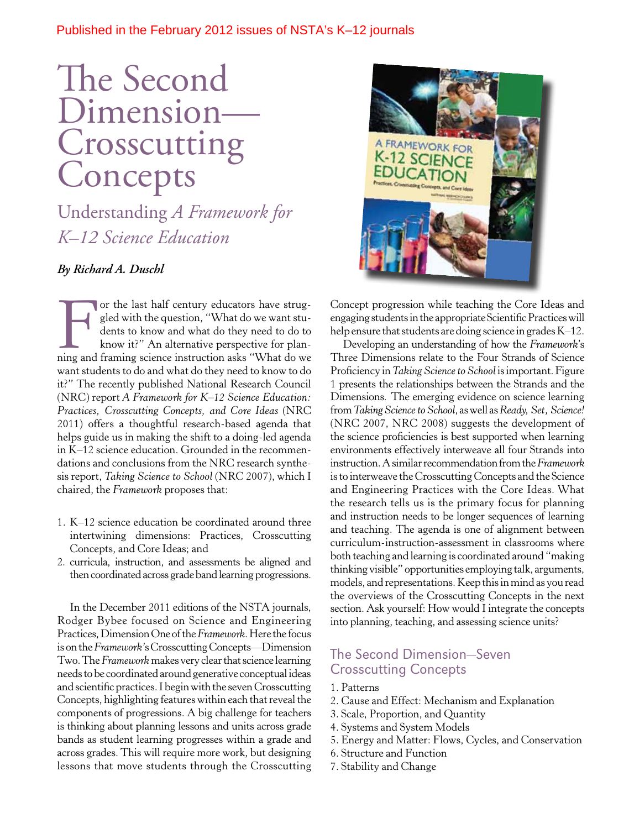### Published in the February 2012 issues of NSTA's K–12 journals

## The Second Dimension— Crosscutting Concepts

Understanding *A Framework for K–12 Science Education* 

### *By Richard A. Duschl*

For the last half century educators have strug-<br>gled with the question, "What do we want stu-<br>dents to know and what do they need to do to<br>know it?" An alternative perspective for plan-<br>ning and framing science instruction gled with the question, "What do we want students to know and what do they need to do to know it?" An alternative perspective for planning and framing science instruction asks "What do we want students to do and what do they need to know to do it?" The recently published National Research Council (NRC) report *A Framework for K–12 Science Education: Practices, Crosscutting Concepts, and Core Ideas* (NRC 2011) offers a thoughtful research-based agenda that helps guide us in making the shift to a doing-led agenda in K–12 science education. Grounded in the recommendations and conclusions from the NRC research synthesis report, *Taking Science to School* (NRC 2007), which I chaired, the *Framework* proposes that:

- 1. K–12 science education be coordinated around three intertwining dimensions: Practices, Crosscutting Concepts, and Core Ideas; and
- 2. curricula, instruction, and assessments be aligned and then coordinated across grade band learning progressions.

In the December 2011 editions of the NSTA journals, Rodger Bybee focused on Science and Engineering Practices, Dimension One of the *Framework*. Here the focus is on the *Framework'*s Crosscutting Concepts—Dimension Two. The *Framework* makes very clear that science learning needs to be coordinated around generative conceptual ideas and scientifc practices. I begin with the seven Crosscutting Concepts, highlighting features within each that reveal the components of progressions. A big challenge for teachers is thinking about planning lessons and units across grade bands as student learning progresses within a grade and across grades. This will require more work, but designing lessons that move students through the Crosscutting



Concept progression while teaching the Core Ideas and engaging students in the appropriate Scientifc Practices will help ensure that students are doing science in grades K–12.

Developing an understanding of how the *Framework*'s Three Dimensions relate to the Four Strands of Science Profciency in *Taking Science to School* is important. Figure 1 presents the relationships between the Strands and the Dimensions*.* The emerging evidence on science learning from *Taking Science to School*, as well as *Ready, Set, Science!*  (NRC 2007, NRC 2008) suggests the development of the science profciencies is best supported when learning environments effectively interweave all four Strands into instruction. A similar recommendation from the *Framework*  is to interweave the Crosscutting Concepts and the Science and Engineering Practices with the Core Ideas. What the research tells us is the primary focus for planning and instruction needs to be longer sequences of learning and teaching. The agenda is one of alignment between curriculum-instruction-assessment in classrooms where both teaching and learning is coordinated around "making thinking visible" opportunities employing talk, arguments, models, and representations. Keep this in mind as you read the overviews of the Crosscutting Concepts in the next section. Ask yourself: How would I integrate the concepts into planning, teaching, and assessing science units?

### The Second Dimension—Seven Crosscutting Concepts

- 1. Patterns
- 2. Cause and Effect: Mechanism and Explanation
- 3. Scale, Proportion, and Quantity
- 4. Systems and System Models
- 5. Energy and Matter: Flows, Cycles, and Conservation
- 6. Structure and Function
- 7. Stability and Change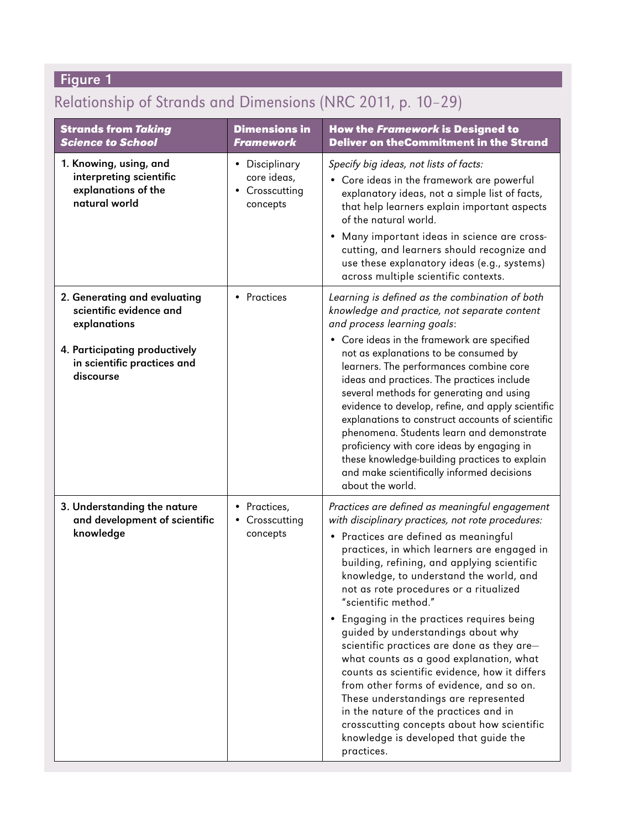## Figure 1

## Relationship of Strands and Dimensions (NRC 2011, p. 10-29)

| <b>Strands from Taking</b><br><b>Science to School</b>                                                                                               | <b>Dimensions in</b><br><b>Framework</b>                    | <b>How the Framework is Designed to</b><br><b>Deliver on theCommitment in the Strand</b>                                                                                                                                                                                                                                                                                                                                                                                |
|------------------------------------------------------------------------------------------------------------------------------------------------------|-------------------------------------------------------------|-------------------------------------------------------------------------------------------------------------------------------------------------------------------------------------------------------------------------------------------------------------------------------------------------------------------------------------------------------------------------------------------------------------------------------------------------------------------------|
| 1. Knowing, using, and<br>interpreting scientific<br>explanations of the<br>natural world                                                            | • Disciplinary<br>core ideas,<br>• Crosscutting<br>concepts | Specify big ideas, not lists of facts:<br>• Core ideas in the framework are powerful<br>explanatory ideas, not a simple list of facts,<br>that help learners explain important aspects<br>of the natural world.<br>Many important ideas in science are cross-                                                                                                                                                                                                           |
|                                                                                                                                                      |                                                             | cutting, and learners should recognize and<br>use these explanatory ideas (e.g., systems)<br>across multiple scientific contexts.                                                                                                                                                                                                                                                                                                                                       |
| 2. Generating and evaluating<br>scientific evidence and<br>explanations<br>4. Participating productively<br>in scientific practices and<br>discourse | • Practices                                                 | Learning is defined as the combination of both<br>knowledge and practice, not separate content<br>and process learning goals:<br>• Core ideas in the framework are specified<br>not as explanations to be consumed by<br>learners. The performances combine core                                                                                                                                                                                                        |
|                                                                                                                                                      |                                                             | ideas and practices. The practices include<br>several methods for generating and using<br>evidence to develop, refine, and apply scientific<br>explanations to construct accounts of scientific<br>phenomena. Students learn and demonstrate<br>proficiency with core ideas by engaging in<br>these knowledge-building practices to explain<br>and make scientifically informed decisions<br>about the world.                                                           |
| 3. Understanding the nature<br>and development of scientific<br>knowledge                                                                            | • Practices,<br>• Crosscutting<br>concepts                  | Practices are defined as meaningful engagement<br>with disciplinary practices, not rote procedures:<br>· Practices are defined as meaningful<br>practices, in which learners are engaged in<br>building, refining, and applying scientific<br>knowledge, to understand the world, and<br>not as rote procedures or a ritualized<br>"scientific method."                                                                                                                 |
|                                                                                                                                                      |                                                             | Engaging in the practices requires being<br>$\bullet$<br>guided by understandings about why<br>scientific practices are done as they are-<br>what counts as a good explanation, what<br>counts as scientific evidence, how it differs<br>from other forms of evidence, and so on.<br>These understandings are represented<br>in the nature of the practices and in<br>crosscutting concepts about how scientific<br>knowledge is developed that guide the<br>practices. |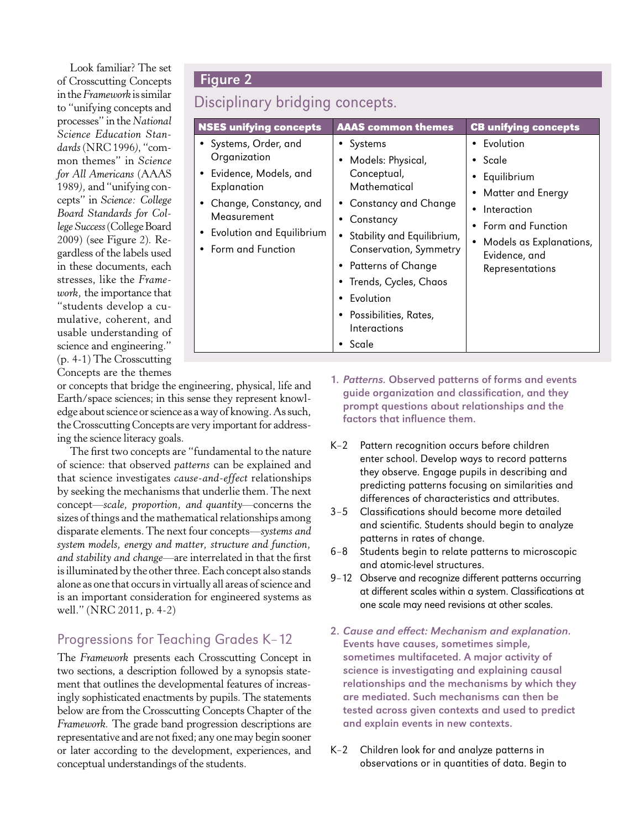Look familiar? The set of Crosscutting Concepts Figure 2 in the *Framework* is similar to "unifying concepts and processes" in the *National Science Education Standards* (NRC 1996*)*, "common themes" in *Science for All Americans* (AAAS 1989*),* and "unifying concepts" in *Science: College Board Standards for College Success* (College Board 2009) (see Figure 2). Regardless of the labels used in these documents, each stresses, like the *Framework,* the importance that "students develop a cumulative, coherent, and usable understanding of science and engineering." (p. 4-1) The Crosscutting Concepts are the themes

# Disciplinary bridging concepts.

| <b>NSES unifying concepts</b>                                                                                                                                                    | <b>AAAS common themes</b>                                                                                                                                                                                                                                                                          | <b>CB unifying concepts</b>                                                                                                                                                               |
|----------------------------------------------------------------------------------------------------------------------------------------------------------------------------------|----------------------------------------------------------------------------------------------------------------------------------------------------------------------------------------------------------------------------------------------------------------------------------------------------|-------------------------------------------------------------------------------------------------------------------------------------------------------------------------------------------|
| • Systems, Order, and<br>Organization<br>• Evidence, Models, and<br>Explanation<br>• Change, Constancy, and<br>Measurement<br>• Evolution and Equilibrium<br>• Form and Function | • Systems<br>Models: Physical,<br>Conceptual,<br>Mathematical<br><b>Constancy and Change</b><br>$\bullet$<br>Constancy<br>Stability and Equilibrium,<br>Conservation, Symmetry<br>• Patterns of Change<br>• Trends, Cycles, Chaos<br>Fvolution<br>• Possibilities, Rates,<br>Interactions<br>Scale | Evolution<br>$\bullet$<br>$\bullet$ Scale<br>• Equilibrium<br><b>Matter and Energy</b><br>Interaction<br>Form and Function<br>Models as Explanations,<br>Evidence, and<br>Representations |

or concepts that bridge the engineering, physical, life and Earth/space sciences; in this sense they represent knowledge about science or science as a way of knowing. As such, the Crosscutting Concepts are very important for addressing the science literacy goals.

The frst two concepts are "fundamental to the nature of science: that observed *patterns* can be explained and that science investigates *cause-and-effect* relationships by seeking the mechanisms that underlie them. The next concept—*scale, proportion, and quantity*—concerns the sizes of things and the mathematical relationships among disparate elements. The next four concepts—*systems and system models, energy and matter, structure and function, and stability and change*—are interrelated in that the frst is illuminated by the other three. Each concept also stands alone as one that occurs in virtually all areas of science and is an important consideration for engineered systems as well." (NRC 2011, p. 4-2)

### Progressions for Teaching Grades K–12

The *Framework* presents each Crosscutting Concept in two sections, a description followed by a synopsis statement that outlines the developmental features of increasingly sophisticated enactments by pupils. The statements below are from the Crosscutting Concepts Chapter of the *Framework.* The grade band progression descriptions are representative and are not fxed; any one may begin sooner or later according to the development, experiences, and conceptual understandings of the students.

- 1. Patterns. Observed patterns of forms and events guide organization and classification, and they prompt questions about relationships and the factors that influence them.
- K–2 Pattern recognition occurs before children enter school. Develop ways to record patterns they observe. Engage pupils in describing and predicting patterns focusing on similarities and differences of characteristics and attributes.
- 3–5 Classifcations should become more detailed and scientific. Students should begin to analyze patterns in rates of change.
- 6–8 Students begin to relate patterns to microscopic and atomic-level structures.
- 9–12 Observe and recognize different patterns occurring at different scales within a system. Classifications at one scale may need revisions at other scales.
- 2. Cause and efect: Mechanism and explanation. Events have causes, sometimes simple, sometimes multifaceted. A major activity of science is investigating and explaining causal relationships and the mechanisms by which they are mediated. Such mechanisms can then be tested across given contexts and used to predict and explain events in new contexts.
- K-2 Children look for and analyze patterns in observations or in quantities of data. Begin to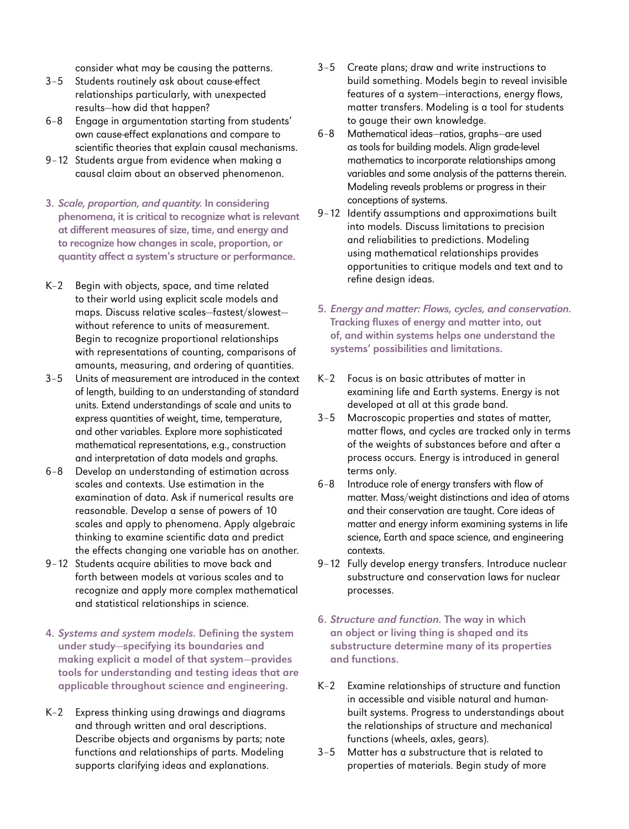consider what may be causing the patterns.

- 3-5 Students routinely ask about cause-effect relationships particularly, with unexpected results—how did that happen?
- 6–8 Engage in argumentation starting from students' own cause-effect explanations and compare to scientific theories that explain causal mechanisms.
- 9–12 Students argue from evidence when making a causal claim about an observed phenomenon.
- 3. Scale, proportion, and quantity. In considering phenomena, it is critical to recognize what is relevant at diferent measures of size, time, and energy and to recognize how changes in scale, proportion, or quantity afect a system's structure or performance.
- K–2 Begin with objects, space, and time related to their world using explicit scale models and maps. Discuss relative scales—fastest/slowest without reference to units of measurement. Begin to recognize proportional relationships with representations of counting, comparisons of amounts, measuring, and ordering of quantities.
- 3–5 Units of measurement are introduced in the context of length, building to an understanding of standard units. Extend understandings of scale and units to express quantities of weight, time, temperature, and other variables. Explore more sophisticated mathematical representations, e.g., construction and interpretation of data models and graphs.
- 6–8 Develop an understanding of estimation across scales and contexts. Use estimation in the examination of data. Ask if numerical results are reasonable. Develop a sense of powers of 10 scales and apply to phenomena. Apply algebraic thinking to examine scientific data and predict the effects changing one variable has on another.
- 9–12 Students acquire abilities to move back and forth between models at various scales and to recognize and apply more complex mathematical and statistical relationships in science.
- 4. Systems and system models. Defining the system under study—specifying its boundaries and making explicit a model of that system-provides tools for understanding and testing ideas that are applicable throughout science and engineering.
- K–2 Express thinking using drawings and diagrams and through written and oral descriptions. Describe objects and organisms by parts; note functions and relationships of parts. Modeling supports clarifying ideas and explanations.
- 3–5 Create plans; draw and write instructions to build something. Models begin to reveal invisible features of a system-interactions, energy flows, matter transfers. Modeling is a tool for students to gauge their own knowledge.
- 6–8 Mathematical ideas—ratios, graphs—are used as tools for building models. Align grade-level mathematics to incorporate relationships among variables and some analysis of the patterns therein. Modeling reveals problems or progress in their conceptions of systems.
- 9-12 Identify assumptions and approximations built into models. Discuss limitations to precision and reliabilities to predictions. Modeling using mathematical relationships provides opportunities to critique models and text and to refne design ideas.
- 5. Energy and matter: Flows, cycles, and conservation. Tracking fuxes of energy and matter into, out of, and within systems helps one understand the systems' possibilities and limitations.
- K–2 Focus is on basic attributes of matter in examining life and Earth systems. Energy is not developed at all at this grade band.
- 3–5 Macroscopic properties and states of matter, matter flows, and cycles are tracked only in terms of the weights of substances before and after a process occurs. Energy is introduced in general terms only.
- 6-8 Introduce role of energy transfers with flow of matter. Mass/weight distinctions and idea of atoms and their conservation are taught. Core ideas of matter and energy inform examining systems in life science, Earth and space science, and engineering contexts.
- 9-12 Fully develop energy transfers. Introduce nuclear substructure and conservation laws for nuclear processes.
- 6. Structure and function. The way in which an object or living thing is shaped and its substructure determine many of its properties and functions.
- K–2 Examine relationships of structure and function in accessible and visible natural and humanbuilt systems. Progress to understandings about the relationships of structure and mechanical functions (wheels, axles, gears).
- 3–5 Matter has a substructure that is related to properties of materials. Begin study of more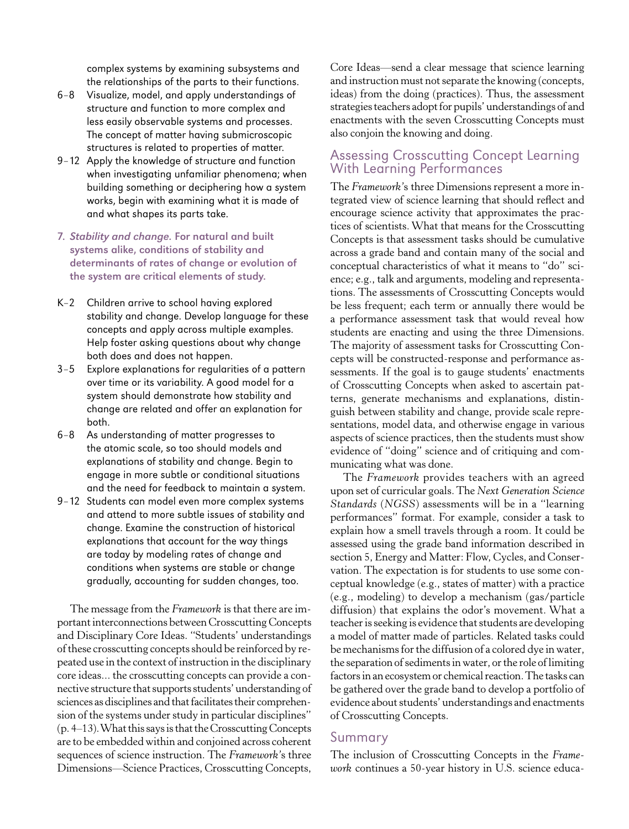complex systems by examining subsystems and the relationships of the parts to their functions.

- 6-8 Visualize, model, and apply understandings of structure and function to more complex and less easily observable systems and processes. The concept of matter having submicroscopic structures is related to properties of matter.
- 9-12 Apply the knowledge of structure and function when investigating unfamiliar phenomena; when building something or deciphering how a system works, begin with examining what it is made of and what shapes its parts take.
- 7. Stability and change. For natural and built systems alike, conditions of stability and determinants of rates of change or evolution of the system are critical elements of study.
- K–2 Children arrive to school having explored stability and change. Develop language for these concepts and apply across multiple examples. Help foster asking questions about why change both does and does not happen.
- 3–5 Explore explanations for regularities of a pattern over time or its variability. A good model for a system should demonstrate how stability and change are related and offer an explanation for both.
- 6–8 As understanding of matter progresses to the atomic scale, so too should models and explanations of stability and change. Begin to engage in more subtle or conditional situations and the need for feedback to maintain a system.
- 9-12 Students can model even more complex systems and attend to more subtle issues of stability and change. Examine the construction of historical explanations that account for the way things are today by modeling rates of change and conditions when systems are stable or change gradually, accounting for sudden changes, too.

The message from the *Framework* is that there are important interconnections between Crosscutting Concepts and Disciplinary Core Ideas. "Students' understandings of these crosscutting concepts should be reinforced by repeated use in the context of instruction in the disciplinary core ideas... the crosscutting concepts can provide a connective structure that supports students' understanding of sciences as disciplines and that facilitates their comprehension of the systems under study in particular disciplines" (p. 4–13). What this says is that the Crosscutting Concepts are to be embedded within and conjoined across coherent sequences of science instruction. The *Framework'*s three Dimensions—Science Practices, Crosscutting Concepts,

Core Ideas—send a clear message that science learning and instruction must not separate the knowing (concepts, ideas) from the doing (practices). Thus, the assessment strategies teachers adopt for pupils' understandings of and enactments with the seven Crosscutting Concepts must also conjoin the knowing and doing.

### Assessing Crosscutting Concept Learning With Learning Performances

The *Framework'*s three Dimensions represent a more integrated view of science learning that should refect and encourage science activity that approximates the practices of scientists. What that means for the Crosscutting Concepts is that assessment tasks should be cumulative across a grade band and contain many of the social and conceptual characteristics of what it means to "do" science; e.g., talk and arguments, modeling and representations. The assessments of Crosscutting Concepts would be less frequent; each term or annually there would be a performance assessment task that would reveal how students are enacting and using the three Dimensions. The majority of assessment tasks for Crosscutting Concepts will be constructed-response and performance assessments. If the goal is to gauge students' enactments of Crosscutting Concepts when asked to ascertain patterns, generate mechanisms and explanations, distinguish between stability and change, provide scale representations, model data, and otherwise engage in various aspects of science practices, then the students must show evidence of "doing" science and of critiquing and communicating what was done.

The *Framework* provides teachers with an agreed upon set of curricular goals. The *Next Generation Science Standards* (*NGSS*) assessments will be in a "learning performances" format. For example, consider a task to explain how a smell travels through a room. It could be assessed using the grade band information described in section 5, Energy and Matter: Flow, Cycles, and Conservation. The expectation is for students to use some conceptual knowledge (e.g., states of matter) with a practice (e.g., modeling) to develop a mechanism (gas/particle diffusion) that explains the odor's movement. What a teacher is seeking is evidence that students are developing a model of matter made of particles. Related tasks could be mechanisms for the diffusion of a colored dye in water, the separation of sediments in water, or the role of limiting factors in an ecosystem or chemical reaction. The tasks can be gathered over the grade band to develop a portfolio of evidence about students' understandings and enactments of Crosscutting Concepts.

### **Summary**

The inclusion of Crosscutting Concepts in the *Framework* continues a 50-year history in U.S. science educa